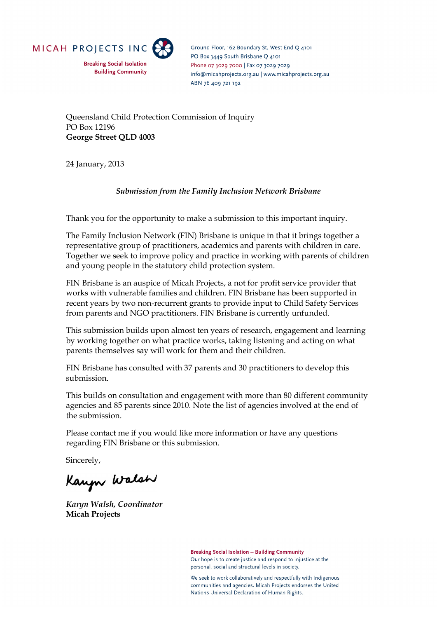

**Breaking Social Isolation Building Community**  Ground Floor, 162 Boundary St, West End O 4101 PO Box 3449 South Brisbane O 4101 Phone 07 3029 7000 | Fax 07 3029 7029 info@micahprojects.org.au | www.micahprojects.org.au ABN 76 409 721 192

Queensland Child Protection Commission of Inquiry PO Box 12196 **George Street QLD 4003** 

24 January, 2013

## *Submission from the Family Inclusion Network Brisbane*

Thank you for the opportunity to make a submission to this important inquiry.

The Family Inclusion Network (FIN) Brisbane is unique in that it brings together a representative group of practitioners, academics and parents with children in care. Together we seek to improve policy and practice in working with parents of children and young people in the statutory child protection system.

FIN Brisbane is an auspice of Micah Projects, a not for profit service provider that works with vulnerable families and children. FIN Brisbane has been supported in recent years by two non-recurrent grants to provide input to Child Safety Services from parents and NGO practitioners. FIN Brisbane is currently unfunded.

This submission builds upon almost ten years of research, engagement and learning by working together on what practice works, taking listening and acting on what parents themselves say will work for them and their children.

FIN Brisbane has consulted with 37 parents and 30 practitioners to develop this submission.

This builds on consultation and engagement with more than 80 different community agencies and 85 parents since 2010. Note the list of agencies involved at the end of the submission.

Please contact me if you would like more information or have any questions regarding FIN Brisbane or this submission.

Sincerely,

Kaupu Walsh

*Karyn Walsh, Coordinator*  **Micah Projects** 

**Breaking Social Isolation - Building Community** Our hope is to create justice and respond to injustice at the personal, social and structural levels in society.

We seek to work collaboratively and respectfully with Indigenous communities and agencies. Micah Projects endorses the United Nations Universal Declaration of Human Rights.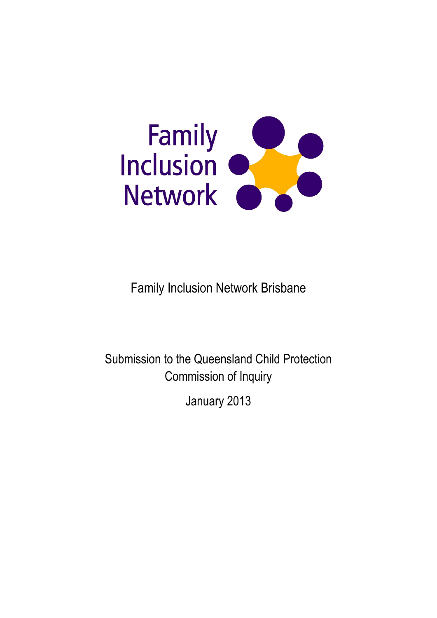

Family Inclusion Network Brisbane

Submission to the Queensland Child Protection Commission of Inquiry

January 2013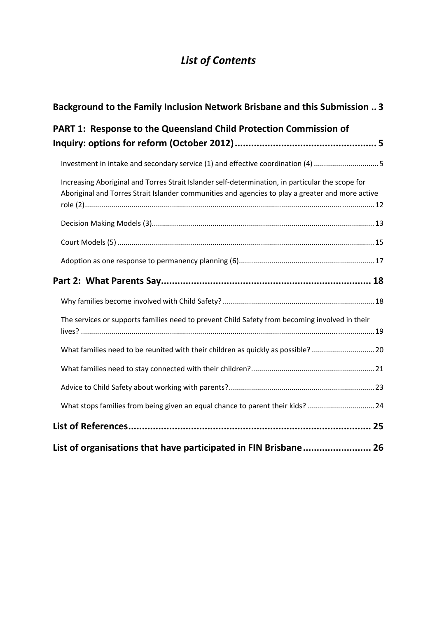# *List of Contents*

| <b>Background to the Family Inclusion Network Brisbane and this Submission  3</b>                                                                                                                    |  |
|------------------------------------------------------------------------------------------------------------------------------------------------------------------------------------------------------|--|
| <b>PART 1: Response to the Queensland Child Protection Commission of</b>                                                                                                                             |  |
| Investment in intake and secondary service (1) and effective coordination (4) 5                                                                                                                      |  |
| Increasing Aboriginal and Torres Strait Islander self-determination, in particular the scope for<br>Aboriginal and Torres Strait Islander communities and agencies to play a greater and more active |  |
|                                                                                                                                                                                                      |  |
|                                                                                                                                                                                                      |  |
|                                                                                                                                                                                                      |  |
|                                                                                                                                                                                                      |  |
|                                                                                                                                                                                                      |  |
| The services or supports families need to prevent Child Safety from becoming involved in their                                                                                                       |  |
| What families need to be reunited with their children as quickly as possible? 20                                                                                                                     |  |
|                                                                                                                                                                                                      |  |
|                                                                                                                                                                                                      |  |
| What stops families from being given an equal chance to parent their kids? 24                                                                                                                        |  |
|                                                                                                                                                                                                      |  |
| List of organisations that have participated in FIN Brisbane 26                                                                                                                                      |  |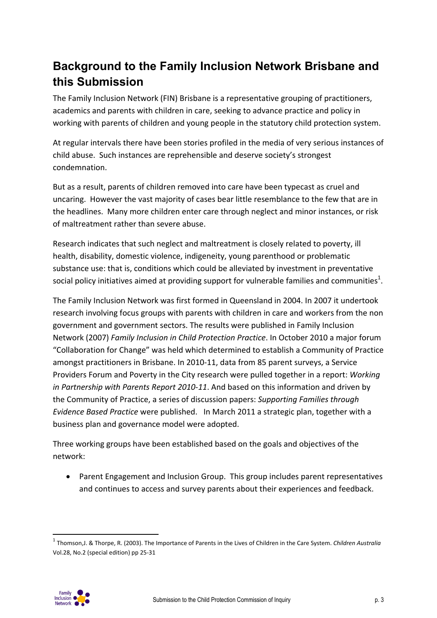# **Background to the Family Inclusion Network Brisbane and this Submission**

The Family Inclusion Network (FIN) Brisbane is a representative grouping of practitioners, academics and parents with children in care, seeking to advance practice and policy in working with parents of children and young people in the statutory child protection system.

At regular intervals there have been stories profiled in the media of very serious instances of child abuse. Such instances are reprehensible and deserve society's strongest condemnation.

But as a result, parents of children removed into care have been typecast as cruel and uncaring. However the vast majority of cases bear little resemblance to the few that are in the headlines. Many more children enter care through neglect and minor instances, or risk of maltreatment rather than severe abuse.

Research indicates that such neglect and maltreatment is closely related to poverty, ill health, disability, domestic violence, indigeneity, young parenthood or problematic substance use: that is, conditions which could be alleviated by investment in preventative social policy initiatives aimed at providing support for vulnerable families and communities<sup>1</sup>.

The Family Inclusion Network was first formed in Queensland in 2004. In 2007 it undertook research involving focus groups with parents with children in care and workers from the non government and government sectors. The results were published in Family Inclusion Network (2007) *Family Inclusion in Child Protection Practice*. In October 2010 a major forum "Collaboration for Change" was held which determined to establish a Community of Practice amongst practitioners in Brisbane. In 2010‐11, data from 85 parent surveys, a Service Providers Forum and Poverty in the City research were pulled together in a report: *Working in Partnership with Parents Report 2010‐11*. And based on this information and driven by the Community of Practice, a series of discussion papers: *Supporting Families through Evidence Based Practice* were published. In March 2011 a strategic plan, together with a business plan and governance model were adopted.

Three working groups have been established based on the goals and objectives of the network:

 Parent Engagement and Inclusion Group. This group includes parent representatives and continues to access and survey parents about their experiences and feedback.



<sup>1</sup> Thomson,J. & Thorpe, R. (2003). The Importance of Parents in the Lives of Children in the Care System. *Children Australia* Vol.28, No.2 (special edition) pp 25‐31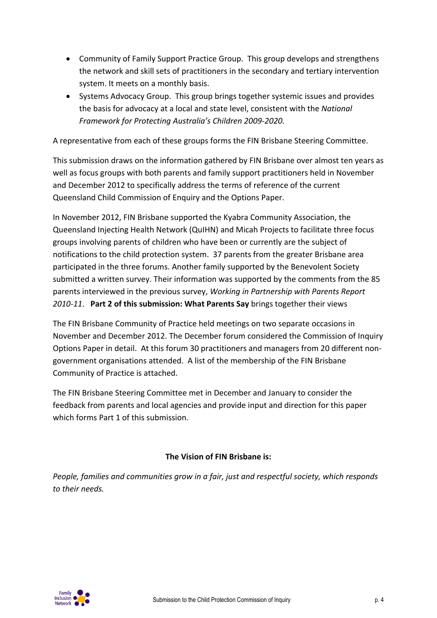- Community of Family Support Practice Group. This group develops and strengthens the network and skill sets of practitioners in the secondary and tertiary intervention system. It meets on a monthly basis.
- Systems Advocacy Group. This group brings together systemic issues and provides the basis for advocacy at a local and state level, consistent with the *National Framework for Protecting Australia's Children 2009‐2020.*

A representative from each of these groups forms the FIN Brisbane Steering Committee.

This submission draws on the information gathered by FIN Brisbane over almost ten years as well as focus groups with both parents and family support practitioners held in November and December 2012 to specifically address the terms of reference of the current Queensland Child Commission of Enquiry and the Options Paper.

In November 2012, FIN Brisbane supported the Kyabra Community Association, the Queensland Injecting Health Network (QuIHN) and Micah Projects to facilitate three focus groups involving parents of children who have been or currently are the subject of notifications to the child protection system. 37 parents from the greater Brisbane area participated in the three forums. Another family supported by the Benevolent Society submitted a written survey. Their information was supported by the comments from the 85 parents interviewed in the previous survey, *Working in Partnership with Parents Report 2010‐11*. **Part 2 of this submission: What Parents Say** brings together their views

The FIN Brisbane Community of Practice held meetings on two separate occasions in November and December 2012. The December forum considered the Commission of Inquiry Options Paper in detail. At this forum 30 practitioners and managers from 20 different non‐ government organisations attended. A list of the membership of the FIN Brisbane Community of Practice is attached.

The FIN Brisbane Steering Committee met in December and January to consider the feedback from parents and local agencies and provide input and direction for this paper which forms Part 1 of this submission.

## **The Vision of FIN Brisbane is:**

*People, families and communities grow in a fair, just and respectful society, which responds to their needs.*

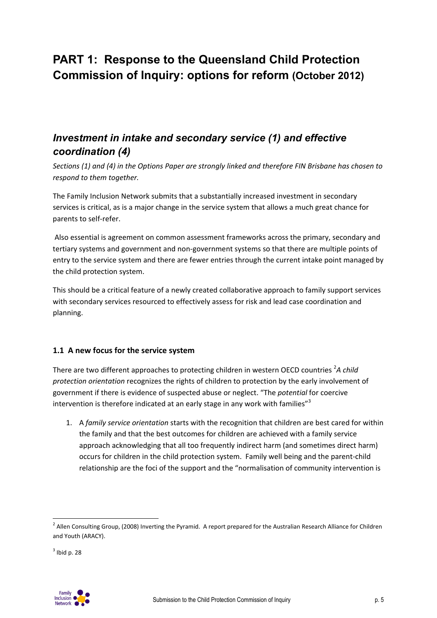# **PART 1: Response to the Queensland Child Protection Commission of Inquiry: options for reform (October 2012)**

## *Investment in intake and secondary service (1) and effective coordination (4)*

Sections (1) and (4) in the Options Paper are strongly linked and therefore FIN Brisbane has chosen to *respond to them together.*

The Family Inclusion Network submits that a substantially increased investment in secondary services is critical, as is a major change in the service system that allows a much great chance for parents to self‐refer.

Also essential is agreement on common assessment frameworks across the primary, secondary and tertiary systems and government and non‐government systems so that there are multiple points of entry to the service system and there are fewer entries through the current intake point managed by the child protection system.

This should be a critical feature of a newly created collaborative approach to family support services with secondary services resourced to effectively assess for risk and lead case coordination and planning.

## **1.1 A new focus for the service system**

There are two different approaches to protecting children in western OECD countries <sup>2</sup>A *child protection orientation* recognizes the rights of children to protection by the early involvement of government if there is evidence of suspected abuse or neglect. "The *potential* for coercive intervention is therefore indicated at an early stage in any work with families"<sup>3</sup>

1. A *family service orientation* starts with the recognition that children are best cared for within the family and that the best outcomes for children are achieved with a family service approach acknowledging that all too frequently indirect harm (and sometimes direct harm) occurs for children in the child protection system. Family well being and the parent‐child relationship are the foci of the support and the "normalisation of community intervention is



 $2$  Allen Consulting Group, (2008) Inverting the Pyramid. A report prepared for the Australian Research Alliance for Children and Youth (ARACY).

 $3$  Ibid p. 28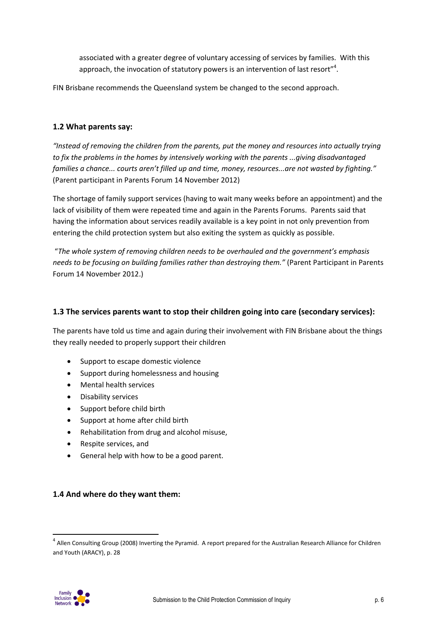associated with a greater degree of voluntary accessing of services by families. With this approach, the invocation of statutory powers is an intervention of last resort"<sup>4</sup>.

FIN Brisbane recommends the Queensland system be changed to the second approach.

### **1.2 What parents say:**

*"Instead of removing the children from the parents, put the money and resources into actually trying to fix the problems in the homes by intensively working with the parents ...giving disadvantaged families a chance... courts aren't filled up and time, money, resources...are not wasted by fighting."* (Parent participant in Parents Forum 14 November 2012)

The shortage of family support services (having to wait many weeks before an appointment) and the lack of visibility of them were repeated time and again in the Parents Forums. Parents said that having the information about services readily available is a key point in not only prevention from entering the child protection system but also exiting the system as quickly as possible.

"*The whole system of removing children needs to be overhauled and the government's emphasis needs to be focusing on building families rather than destroying them."* (Parent Participant in Parents Forum 14 November 2012.)

## **1.3 The services parents want to stop their children going into care (secondary services):**

The parents have told us time and again during their involvement with FIN Brisbane about the things they really needed to properly support their children

- Support to escape domestic violence
- Support during homelessness and housing
- Mental health services
- Disability services
- Support before child birth
- Support at home after child birth
- Rehabilitation from drug and alcohol misuse,
- Respite services, and
- General help with how to be a good parent.

### **1.4 And where do they want them:**



 $4$  Allen Consulting Group (2008) Inverting the Pyramid. A report prepared for the Australian Research Alliance for Children and Youth (ARACY), p. 28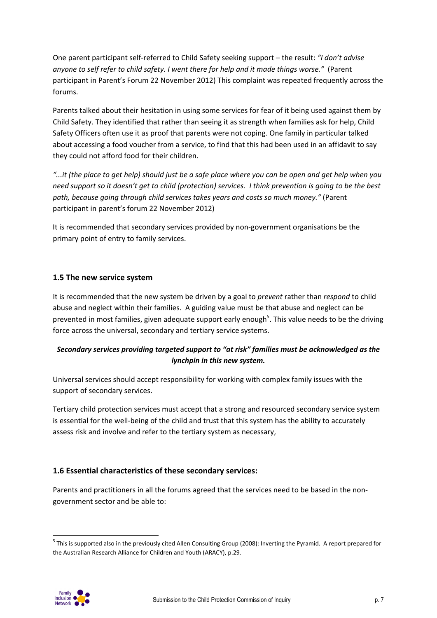One parent participant self‐referred to Child Safety seeking support – the result: *"I don't advise anyone to self refer to child safety. I went there for help and it made things worse."* (Parent participant in Parent's Forum 22 November 2012) This complaint was repeated frequently across the forums.

Parents talked about their hesitation in using some services for fear of it being used against them by Child Safety. They identified that rather than seeing it as strength when families ask for help, Child Safety Officers often use it as proof that parents were not coping. One family in particular talked about accessing a food voucher from a service, to find that this had been used in an affidavit to say they could not afford food for their children.

it (the place to get help) should just be a safe place where you can be open and get help when you..." need support so it doesn't get to child (protection) services. I think prevention is going to be the best *path, because going through child services takes years and costs so much money."* (Parent participant in parent's forum 22 November 2012)

It is recommended that secondary services provided by non-government organisations be the primary point of entry to family services.

## **1.5 The new service system**

It is recommended that the new system be driven by a goal to *prevent* rather than *respond* to child abuse and neglect within their families. A guiding value must be that abuse and neglect can be prevented in most families, given adequate support early enough<sup>5</sup>. This value needs to be the driving force across the universal, secondary and tertiary service systems.

## *Secondary services providing targeted support to "at risk" families must be acknowledged as the lynchpin in this new system.*

Universal services should accept responsibility for working with complex family issues with the support of secondary services.

Tertiary child protection services must accept that a strong and resourced secondary service system is essential for the well-being of the child and trust that this system has the ability to accurately assess risk and involve and refer to the tertiary system as necessary,

## **1.6 Essential characteristics of these secondary services:**

Parents and practitioners in all the forums agreed that the services need to be based in the non‐ government sector and be able to:



<sup>&</sup>lt;sup>5</sup> This is supported also in the previously cited Allen Consulting Group (2008): Inverting the Pyramid. A report prepared for the Australian Research Alliance for Children and Youth (ARACY), p.29.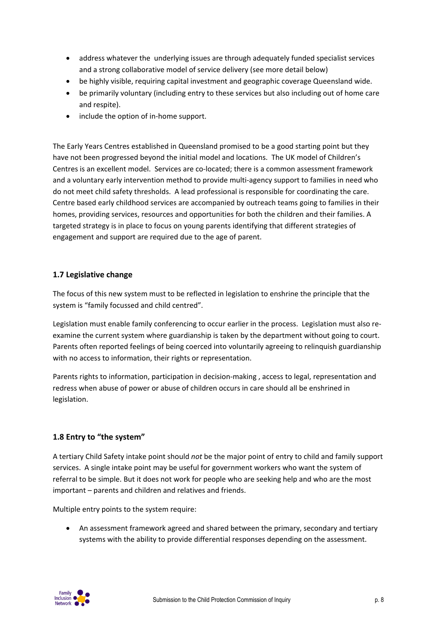- address whatever the underlying issues are through adequately funded specialist services and a strong collaborative model of service delivery (see more detail below)
- be highly visible, requiring capital investment and geographic coverage Queensland wide.
- be primarily voluntary (including entry to these services but also including out of home care and respite).
- include the option of in-home support.

The Early Years Centres established in Queensland promised to be a good starting point but they have not been progressed beyond the initial model and locations. The UK model of Children's Centres is an excellent model. Services are co‐located; there is a common assessment framework and a voluntary early intervention method to provide multi-agency support to families in need who do not meet child safety thresholds. A lead professional is responsible for coordinating the care. Centre based early childhood services are accompanied by outreach teams going to families in their homes, providing services, resources and opportunities for both the children and their families. A targeted strategy is in place to focus on young parents identifying that different strategies of engagement and support are required due to the age of parent.

## **1.7 Legislative change**

The focus of this new system must to be reflected in legislation to enshrine the principle that the system is "family focussed and child centred".

Legislation must enable family conferencing to occur earlier in the process. Legislation must also re‐ examine the current system where guardianship is taken by the department without going to court. Parents often reported feelings of being coerced into voluntarily agreeing to relinquish guardianship with no access to information, their rights or representation.

Parents rights to information, participation in decision‐making , access to legal, representation and redress when abuse of power or abuse of children occurs in care should all be enshrined in legislation.

## **1.8 Entry to "the system"**

A tertiary Child Safety intake point should *not* be the major point of entry to child and family support services. A single intake point may be useful for government workers who want the system of referral to be simple. But it does not work for people who are seeking help and who are the most important – parents and children and relatives and friends.

Multiple entry points to the system require:

 An assessment framework agreed and shared between the primary, secondary and tertiary systems with the ability to provide differential responses depending on the assessment.

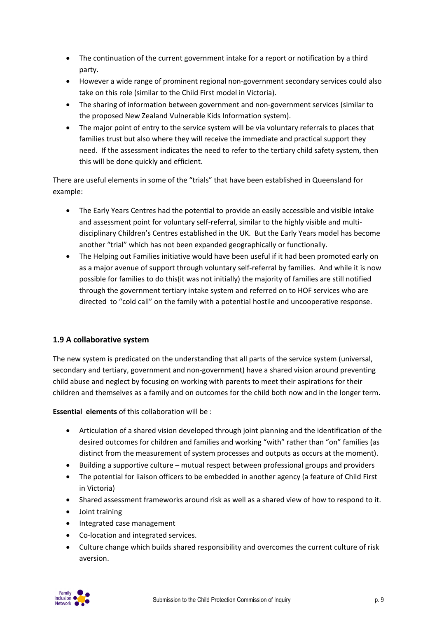- The continuation of the current government intake for a report or notification by a third party.
- However a wide range of prominent regional non‐government secondary services could also take on this role (similar to the Child First model in Victoria).
- The sharing of information between government and non-government services (similar to the proposed New Zealand Vulnerable Kids Information system).
- The major point of entry to the service system will be via voluntary referrals to places that families trust but also where they will receive the immediate and practical support they need. If the assessment indicates the need to refer to the tertiary child safety system, then this will be done quickly and efficient.

There are useful elements in some of the "trials" that have been established in Queensland for example:

- The Early Years Centres had the potential to provide an easily accessible and visible intake and assessment point for voluntary self-referral, similar to the highly visible and multidisciplinary Children's Centres established in the UK. But the Early Years model has become another "trial" which has not been expanded geographically or functionally.
- The Helping out Families initiative would have been useful if it had been promoted early on as a major avenue of support through voluntary self-referral by families. And while it is now possible for families to do this(it was not initially) the majority of families are still notified through the government tertiary intake system and referred on to HOF services who are directed to "cold call" on the family with a potential hostile and uncooperative response.

## **1.9 A collaborative system**

The new system is predicated on the understanding that all parts of the service system (universal, secondary and tertiary, government and non‐government) have a shared vision around preventing child abuse and neglect by focusing on working with parents to meet their aspirations for their children and themselves as a family and on outcomes for the child both now and in the longer term.

**Essential elements** of this collaboration will be :

- Articulation of a shared vision developed through joint planning and the identification of the desired outcomes for children and families and working "with" rather than "on" families (as distinct from the measurement of system processes and outputs as occurs at the moment).
- Building a supportive culture mutual respect between professional groups and providers
- The potential for liaison officers to be embedded in another agency (a feature of Child First in Victoria)
- Shared assessment frameworks around risk as well as a shared view of how to respond to it.
- Joint training
- Integrated case management
- Co-location and integrated services.
- Culture change which builds shared responsibility and overcomes the current culture of risk aversion.

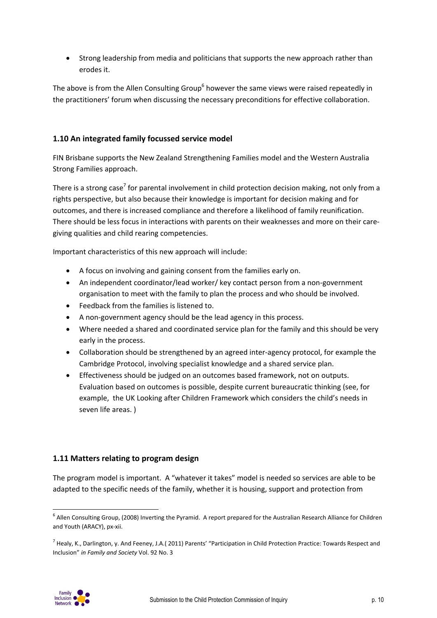• Strong leadership from media and politicians that supports the new approach rather than erodes it.

The above is from the Allen Consulting Group<sup>6</sup> however the same views were raised repeatedly in the practitioners' forum when discussing the necessary preconditions for effective collaboration.

## **1.10 An integrated family focussed service model**

FIN Brisbane supports the New Zealand Strengthening Families model and the Western Australia Strong Families approach.

There is a strong case<sup>7</sup> for parental involvement in child protection decision making, not only from a rights perspective, but also because their knowledge is important for decision making and for outcomes, and there is increased compliance and therefore a likelihood of family reunification. There should be less focus in interactions with parents on their weaknesses and more on their care‐ giving qualities and child rearing competencies.

Important characteristics of this new approach will include:

- A focus on involving and gaining consent from the families early on.
- An independent coordinator/lead worker/ key contact person from a non‐government organisation to meet with the family to plan the process and who should be involved.
- Feedback from the families is listened to.
- A non-government agency should be the lead agency in this process.
- Where needed a shared and coordinated service plan for the family and this should be very early in the process.
- Collaboration should be strengthened by an agreed inter‐agency protocol, for example the Cambridge Protocol, involving specialist knowledge and a shared service plan.
- Effectiveness should be judged on an outcomes based framework, not on outputs. Evaluation based on outcomes is possible, despite current bureaucratic thinking (see, for example, the UK Looking after Children Framework which considers the child's needs in seven life areas. )

## **1.11 Matters relating to program design**

The program model is important. A "whatever it takes" model is needed so services are able to be adapted to the specific needs of the family, whether it is housing, support and protection from



<sup>&</sup>lt;sup>6</sup> Allen Consulting Group, (2008) Inverting the Pyramid. A report prepared for the Australian Research Alliance for Children and Youth (ARACY), px‐xii.

<sup>7</sup> Healy, K., Darlington, y. And Feeney, J.A.( 2011) Parents' "Participation in Child Protection Practice: Towards Respect and Inclusion" *in Family and Society* Vol. 92 No. 3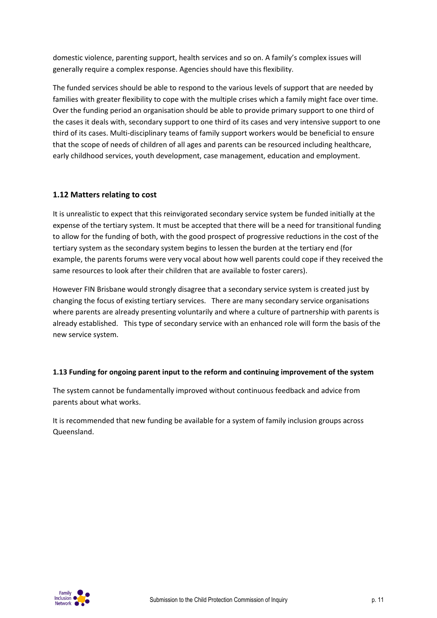domestic violence, parenting support, health services and so on. A family's complex issues will generally require a complex response. Agencies should have this flexibility.

The funded services should be able to respond to the various levels of support that are needed by families with greater flexibility to cope with the multiple crises which a family might face over time. Over the funding period an organisation should be able to provide primary support to one third of the cases it deals with, secondary support to one third of its cases and very intensive support to one third of its cases. Multi‐disciplinary teams of family support workers would be beneficial to ensure that the scope of needs of children of all ages and parents can be resourced including healthcare, early childhood services, youth development, case management, education and employment.

## **1.12 Matters relating to cost**

It is unrealistic to expect that this reinvigorated secondary service system be funded initially at the expense of the tertiary system. It must be accepted that there will be a need for transitional funding to allow for the funding of both, with the good prospect of progressive reductions in the cost of the tertiary system as the secondary system begins to lessen the burden at the tertiary end (for example, the parents forums were very vocal about how well parents could cope if they received the same resources to look after their children that are available to foster carers).

However FIN Brisbane would strongly disagree that a secondary service system is created just by changing the focus of existing tertiary services. There are many secondary service organisations where parents are already presenting voluntarily and where a culture of partnership with parents is already established. This type of secondary service with an enhanced role will form the basis of the new service system.

### **1.13 Funding for ongoing parent input to the reform and continuing improvement of the system**

The system cannot be fundamentally improved without continuous feedback and advice from parents about what works.

It is recommended that new funding be available for a system of family inclusion groups across Queensland.

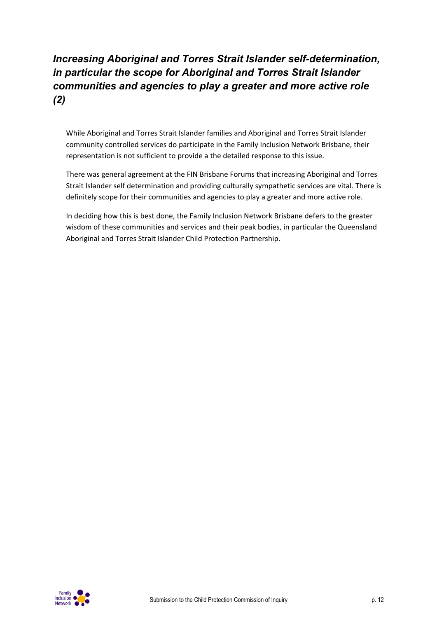# *Increasing Aboriginal and Torres Strait Islander self-determination, in particular the scope for Aboriginal and Torres Strait Islander communities and agencies to play a greater and more active role (2)*

While Aboriginal and Torres Strait Islander families and Aboriginal and Torres Strait Islander community controlled services do participate in the Family Inclusion Network Brisbane, their representation is not sufficient to provide a the detailed response to this issue.

There was general agreement at the FIN Brisbane Forums that increasing Aboriginal and Torres Strait Islander self determination and providing culturally sympathetic services are vital. There is definitely scope for their communities and agencies to play a greater and more active role.

In deciding how this is best done, the Family Inclusion Network Brisbane defers to the greater wisdom of these communities and services and their peak bodies, in particular the Queensland Aboriginal and Torres Strait Islander Child Protection Partnership.

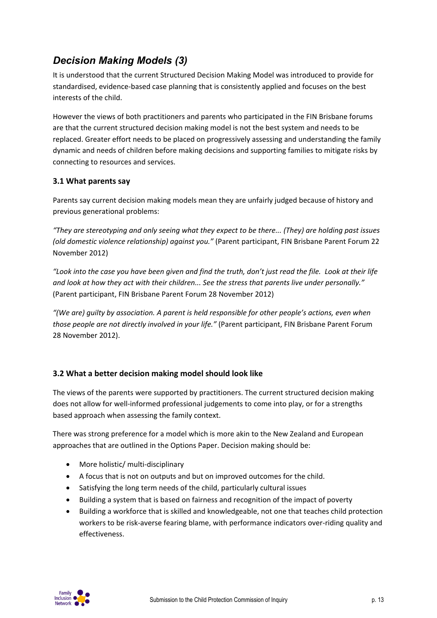# *Decision Making Models (3)*

It is understood that the current Structured Decision Making Model was introduced to provide for standardised, evidence‐based case planning that is consistently applied and focuses on the best interests of the child.

However the views of both practitioners and parents who participated in the FIN Brisbane forums are that the current structured decision making model is not the best system and needs to be replaced. Greater effort needs to be placed on progressively assessing and understanding the family dynamic and needs of children before making decisions and supporting families to mitigate risks by connecting to resources and services.

## **3.1 What parents say**

Parents say current decision making models mean they are unfairly judged because of history and previous generational problems:

*"They are stereotyping and only seeing what they expect to be there... (They) are holding past issues (old domestic violence relationship) against you."* (Parent participant, FIN Brisbane Parent Forum 22 November 2012)

"Look into the case you have been given and find the truth, don't just read the file. Look at their life *and look at how they act with their children... See the stress that parents live under personally."* (Parent participant, FIN Brisbane Parent Forum 28 November 2012)

*"(We are) guilty by association. A parent is held responsible for other people's actions, even when those people are not directly involved in your life."* (Parent participant, FIN Brisbane Parent Forum 28 November 2012).

## **3.2 What a better decision making model should look like**

The views of the parents were supported by practitioners. The current structured decision making does not allow for well‐informed professional judgements to come into play, or for a strengths based approach when assessing the family context.

There was strong preference for a model which is more akin to the New Zealand and European approaches that are outlined in the Options Paper. Decision making should be:

- More holistic/ multi-disciplinary
- A focus that is not on outputs and but on improved outcomes for the child.
- Satisfying the long term needs of the child, particularly cultural issues
- Building a system that is based on fairness and recognition of the impact of poverty
- Building a workforce that is skilled and knowledgeable, not one that teaches child protection workers to be risk‐averse fearing blame, with performance indicators over‐riding quality and effectiveness.

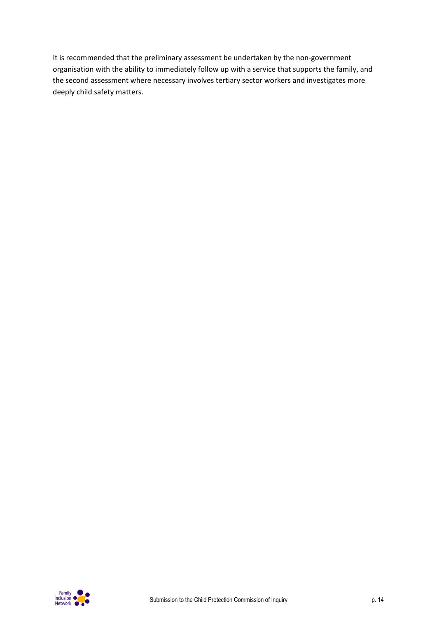It is recommended that the preliminary assessment be undertaken by the non‐government organisation with the ability to immediately follow up with a service that supports the family, and the second assessment where necessary involves tertiary sector workers and investigates more deeply child safety matters.

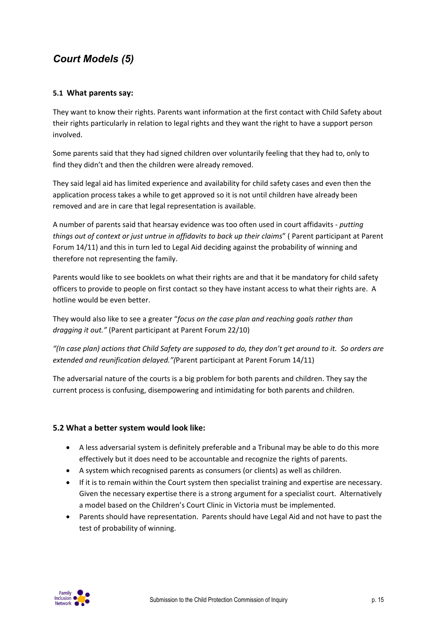# *Court Models (5)*

## **5.1 What parents say:**

They want to know their rights. Parents want information at the first contact with Child Safety about their rights particularly in relation to legal rights and they want the right to have a support person involved.

Some parents said that they had signed children over voluntarily feeling that they had to, only to find they didn't and then the children were already removed.

They said legal aid has limited experience and availability for child safety cases and even then the application process takes a while to get approved so it is not until children have already been removed and are in care that legal representation is available.

A number of parents said that hearsay evidence was too often used in court affidavits ‐ *putting things out of context or just untrue in affidavits to back up their claims*" ( Parent participant at Parent Forum 14/11) and this in turn led to Legal Aid deciding against the probability of winning and therefore not representing the family.

Parents would like to see booklets on what their rights are and that it be mandatory for child safety officers to provide to people on first contact so they have instant access to what their rights are. A hotline would be even better.

They would also like to see a greater "*focus on the case plan and reaching goals rather than dragging it out."* (Parent participant at Parent Forum 22/10)

"(In case plan) actions that Child Safety are supposed to do, they don't get around to it. So orders are *extended and reunification delayed."(*Parent participant at Parent Forum 14/11)

The adversarial nature of the courts is a big problem for both parents and children. They say the current process is confusing, disempowering and intimidating for both parents and children.

### **5.2 What a better system would look like:**

- A less adversarial system is definitely preferable and a Tribunal may be able to do this more effectively but it does need to be accountable and recognize the rights of parents.
- A system which recognised parents as consumers (or clients) as well as children.
- If it is to remain within the Court system then specialist training and expertise are necessary. Given the necessary expertise there is a strong argument for a specialist court. Alternatively a model based on the Children's Court Clinic in Victoria must be implemented.
- Parents should have representation. Parents should have Legal Aid and not have to past the test of probability of winning.

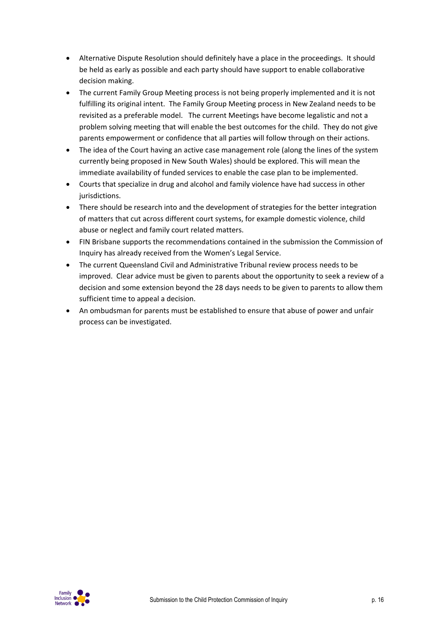- Alternative Dispute Resolution should definitely have a place in the proceedings. It should be held as early as possible and each party should have support to enable collaborative decision making.
- The current Family Group Meeting process is not being properly implemented and it is not fulfilling its original intent. The Family Group Meeting process in New Zealand needs to be revisited as a preferable model. The current Meetings have become legalistic and not a problem solving meeting that will enable the best outcomes for the child. They do not give parents empowerment or confidence that all parties will follow through on their actions.
- The idea of the Court having an active case management role (along the lines of the system currently being proposed in New South Wales) should be explored. This will mean the immediate availability of funded services to enable the case plan to be implemented.
- Courts that specialize in drug and alcohol and family violence have had success in other jurisdictions.
- There should be research into and the development of strategies for the better integration of matters that cut across different court systems, for example domestic violence, child abuse or neglect and family court related matters.
- FIN Brisbane supports the recommendations contained in the submission the Commission of Inquiry has already received from the Women's Legal Service.
- The current Queensland Civil and Administrative Tribunal review process needs to be improved. Clear advice must be given to parents about the opportunity to seek a review of a decision and some extension beyond the 28 days needs to be given to parents to allow them sufficient time to appeal a decision.
- An ombudsman for parents must be established to ensure that abuse of power and unfair process can be investigated.

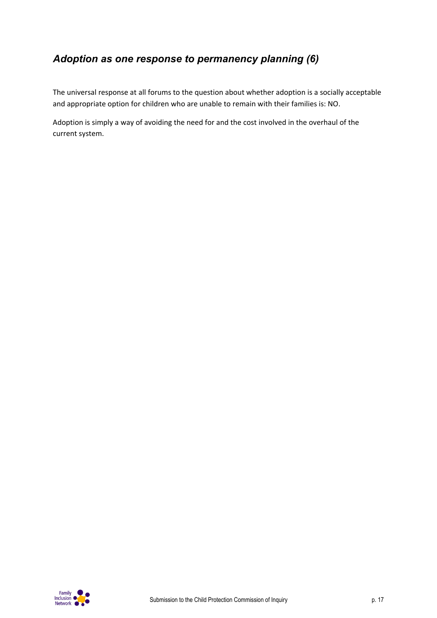## *Adoption as one response to permanency planning (6)*

The universal response at all forums to the question about whether adoption is a socially acceptable and appropriate option for children who are unable to remain with their families is: NO.

Adoption is simply a way of avoiding the need for and the cost involved in the overhaul of the current system.

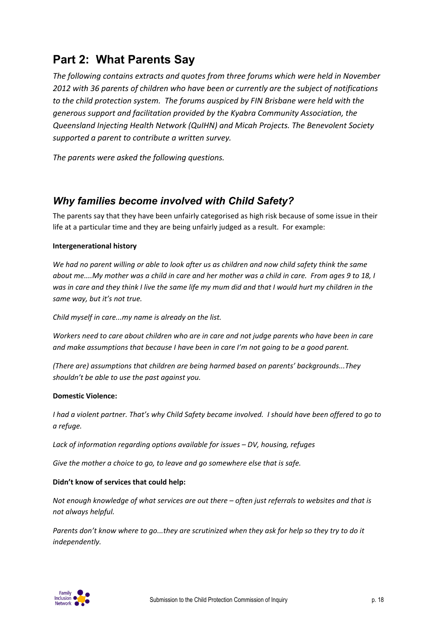# **Part 2: What Parents Say**

*The following contains extracts and quotes from three forums which were held in November 2012 with 36 parents of children who have been or currently are the subject of notifications to the child protection system. The forums auspiced by FIN Brisbane were held with the generous support and facilitation provided by the Kyabra Community Association, the Queensland Injecting Health Network (QuIHN) and Micah Projects. The Benevolent Society supported a parent to contribute a written survey.*

*The parents were asked the following questions.*

## *Why families become involved with Child Safety?*

The parents say that they have been unfairly categorised as high risk because of some issue in their life at a particular time and they are being unfairly judged as a result. For example:

### **Intergenerational history**

We had no parent willing or able to look after us as children and now child safety think the same about me....My mother was a child in care and her mother was a child in care. From ages 9 to 18, I was in care and they think I live the same life my mum did and that I would hurt my children in the *same way, but it's not true.*

*Child myself in care...my name is already on the list.*

Workers need to care about children who are in care and not judge parents who have been in care *and make assumptions that because I have been in care I'm not going to be a good parent.*

*(There are) assumptions that children are being harmed based on parents' backgrounds...They shouldn't be able to use the past against you.*

#### **Domestic Violence:**

I had a violent partner. That's why Child Safety became involved. I should have been offered to go to *a refuge.*

*Lack of information regarding options available for issues – DV, housing, refuges*

*Give the mother a choice to go, to leave and go somewhere else that is safe.*

### **Didn't know of services that could help:**

*Not enough knowledge of what services are out there – often just referrals to websites and that is not always helpful.*

Parents don't know where to go...they are scrutinized when they ask for help so they try to do it *independently.*

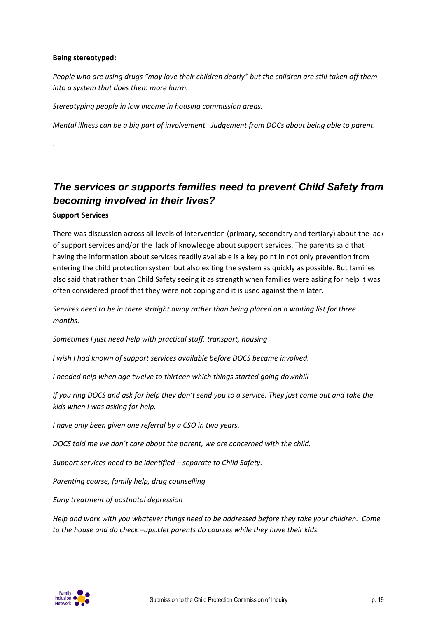### **Being stereotyped:**

People who are using drugs "may love their children dearly" but the children are still taken off them *into a system that does them more harm.*

*Stereotyping people in low income in housing commission areas.*

*Mental illness can be a big part of involvement. Judgement from DOCs about being able to parent.*

# *The services or supports families need to prevent Child Safety from becoming involved in their lives?*

### **Support Services**

.

There was discussion across all levels of intervention (primary, secondary and tertiary) about the lack of support services and/or the lack of knowledge about support services. The parents said that having the information about services readily available is a key point in not only prevention from entering the child protection system but also exiting the system as quickly as possible. But families also said that rather than Child Safety seeing it as strength when families were asking for help it was often considered proof that they were not coping and it is used against them later.

*Services need to be in there straight away rather than being placed on a waiting list for three months.*

*Sometimes I just need help with practical stuff, transport, housing*

*I wish I had known of support services available before DOCS became involved.*

*I needed help when age twelve to thirteen which things started going downhill*

If you ring DOCS and ask for help they don't send you to a service. They just come out and take the *kids when I was asking for help.*

*I have only been given one referral by a CSO in two years.*

*DOCS told me we don't care about the parent, we are concerned with the child.*

*Support services need to be identified – separate to Child Safety.*

*Parenting course, family help, drug counselling*

*Early treatment of postnatal depression*

*Help and work with you whatever things need to be addressed before they take your children. Come to the house and do check –ups.Llet parents do courses while they have their kids.*

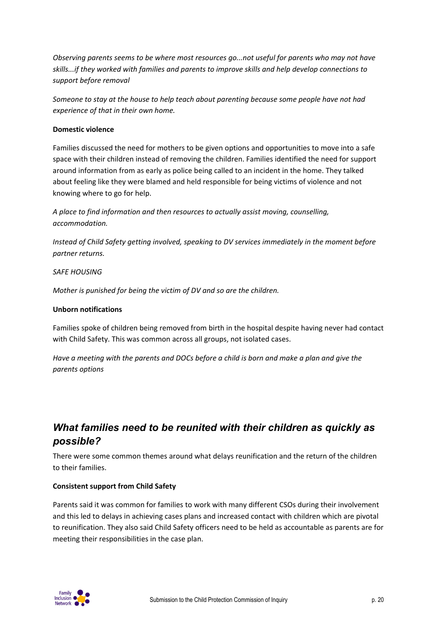*Observing parents seems to be where most resources go...not useful for parents who may not have skills...if they worked with families and parents to improve skills and help develop connections to support before removal*

*Someone to stay at the house to help teach about parenting because some people have not had experience of that in their own home.*

### **Domestic violence**

Families discussed the need for mothers to be given options and opportunities to move into a safe space with their children instead of removing the children. Families identified the need for support around information from as early as police being called to an incident in the home. They talked about feeling like they were blamed and held responsible for being victims of violence and not knowing where to go for help.

*A place to find information and then resources to actually assist moving, counselling, accommodation.*

*Instead of Child Safety getting involved, speaking to DV services immediately in the moment before partner returns.*

#### *SAFE HOUSING*

*Mother is punished for being the victim of DV and so are the children.*

### **Unborn notifications**

Families spoke of children being removed from birth in the hospital despite having never had contact with Child Safety. This was common across all groups, not isolated cases.

Have a meeting with the parents and DOCs before a child is born and make a plan and give the *parents options*

## *What families need to be reunited with their children as quickly as possible?*

There were some common themes around what delays reunification and the return of the children to their families.

### **Consistent support from Child Safety**

Parents said it was common for families to work with many different CSOs during their involvement and this led to delays in achieving cases plans and increased contact with children which are pivotal to reunification. They also said Child Safety officers need to be held as accountable as parents are for meeting their responsibilities in the case plan.

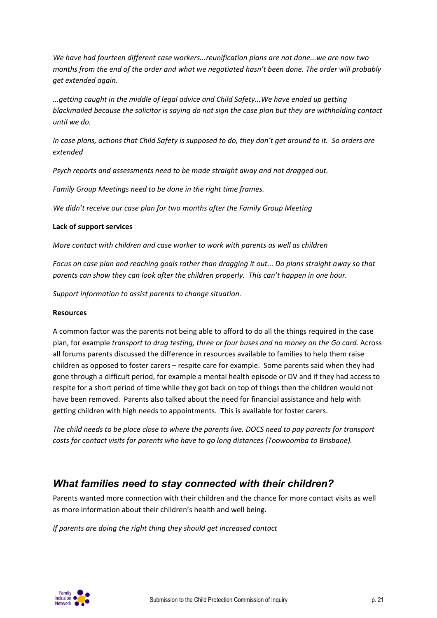*We have had fourteen different case workers...reunification plans are not done...we are now two months from the end of the order and what we negotiated hasn't been done. The order will probably get extended again.*

*...getting caught in the middle of legal advice and Child Safety...We have ended up getting blackmailed because the solicitor is saying do not sign the case plan but they are withholding contact until we do.*

In case plans, actions that Child Safety is supposed to do, they don't get around to it. So orders are *extended*

*Psych reports and assessments need to be made straight away and not dragged out.*

*Family Group Meetings need to be done in the right time frames.*

*We didn't receive our case plan for two months after the Family Group Meeting*

#### **Lack of support services**

*More contact with children and case worker to work with parents as well as children*

Focus on case plan and reaching goals rather than dragging it out... Do plans straight away so that *parents can show they can look after the children properly. This can't happen in one hour.*

*Support information to assist parents to change situation.*

#### **Resources**

A common factor was the parents not being able to afford to do all the things required in the case plan, for example *transport to drug testing, three or four buses and no money on the Go card.* Across all forums parents discussed the difference in resources available to families to help them raise children as opposed to foster carers – respite care for example. Some parents said when they had gone through a difficult period, for example a mental health episode or DV and if they had access to respite for a short period of time while they got back on top of things then the children would not have been removed. Parents also talked about the need for financial assistance and help with getting children with high needs to appointments. This is available for foster carers.

The child needs to be place close to where the parents live. DOCS need to pay parents for transport *costs for contact visits for parents who have to go long distances (Toowoomba to Brisbane).*

## *What families need to stay connected with their children?*

Parents wanted more connection with their children and the chance for more contact visits as well as more information about their children's health and well being.

*If parents are doing the right thing they should get increased contact*

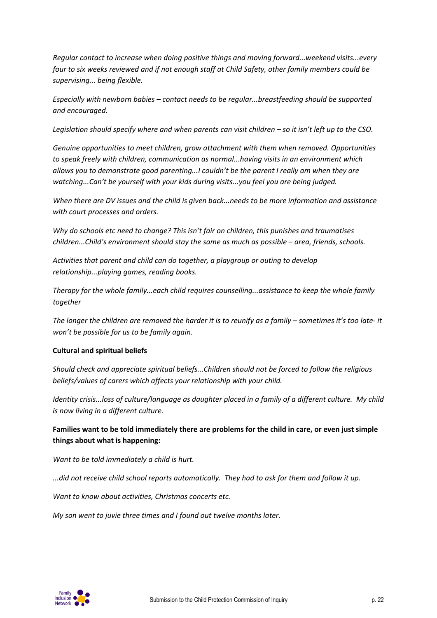*Regular contact to increase when doing positive things and moving forward...weekend visits...every four to six weeks reviewed and if not enough staff at Child Safety, other family members could be supervising... being flexible.*

*Especially with newborn babies – contact needs to be regular...breastfeeding should be supported and encouraged.*

Legislation should specify where and when parents can visit children  $-$  so it isn't left up to the CSO.

*Genuine opportunities to meet children, grow attachment with them when removed. Opportunities to speak freely with children, communication as normal...having visits in an environment which allows you to demonstrate good parenting...I couldn't be the parent I really am when they are watching...Can't be yourself with your kids during visits...you feel you are being judged.*

*When there are DV issues and the child is given back...needs to be more information and assistance with court processes and orders.*

*Why do schools etc need to change? This isn't fair on children, this punishes and traumatises children...Child's environment should stay the same as much as possible – area, friends, schools.*

*Activities that parent and child can do together, a playgroup or outing to develop relationship...playing games, reading books.*

*Therapy for the whole family...each child requires counselling...assistance to keep the whole family together*

The longer the children are removed the harder it is to reunify as a family - sometimes it's too late-it *won't be possible for us to be family again.*

### **Cultural and spiritual beliefs**

*Should check and appreciate spiritual beliefs...Children should not be forced to follow the religious beliefs/values of carers which affects your relationship with your child.*

Identity crisis...loss of culture/language as daughter placed in a family of a different culture. My child *is now living in a different culture.*

**Families want to be told immediately there are problems for the child in care, or even just simple things about what is happening:**

*Want to be told immediately a child is hurt.*

*...did not receive child school reports automatically. They had to ask for them and follow it up.*

*Want to know about activities, Christmas concerts etc.*

*My son went to juvie three times and I found out twelve months later.*

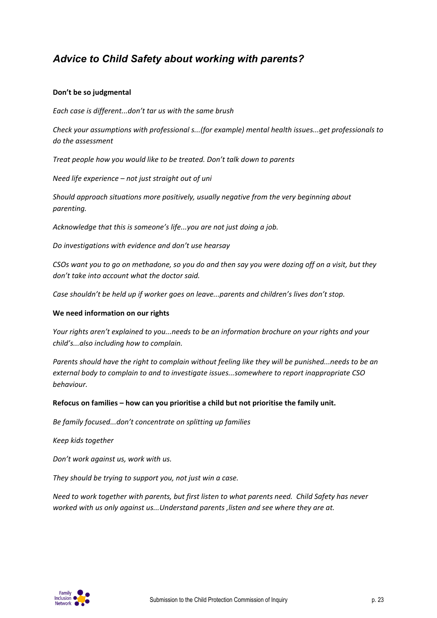## *Advice to Child Safety about working with parents?*

### **Don't be so judgmental**

*Each case is different...don't tar us with the same brush*

*Check your assumptions with professional s...(for example) mental health issues...get professionals to do the assessment*

*Treat people how you would like to be treated. Don't talk down to parents*

*Need life experience – not just straight out of uni*

*Should approach situations more positively, usually negative from the very beginning about parenting.*

*Acknowledge that this is someone's life...you are not just doing a job.*

*Do investigations with evidence and don't use hearsay*

CSOs want you to go on methadone, so you do and then say you were dozing off on a visit, but they *don't take into account what the doctor said.*

*Case shouldn't be held up if worker goes on leave...parents and children's lives don't stop.*

### **We need information on our rights**

*Your rights aren't explained to you...needs to be an information brochure on your rights and your child's...also including how to complain.*

*Parents should have the right to complain without feeling like they will be punished...needs to be an external body to complain to and to investigate issues...somewhere to report inappropriate CSO behaviour.*

#### **Refocus on families – how can you prioritise a child but not prioritise the family unit.**

*Be family focused...don't concentrate on splitting up families*

*Keep kids together*

*Don't work against us, work with us.*

*They should be trying to support you, not just win a case.*

*Need to work together with parents, but first listen to what parents need. Child Safety has never worked with us only against us...Understand parents ,listen and see where they are at.*

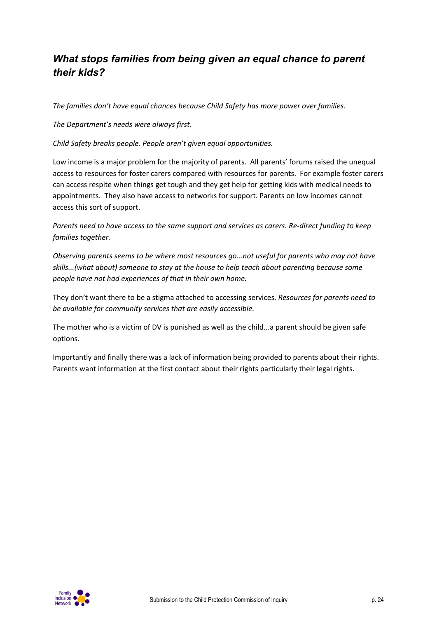## *What stops families from being given an equal chance to parent their kids?*

*The families don't have equal chances because Child Safety has more power over families.*

*The Department's needs were always first.*

*Child Safety breaks people. People aren't given equal opportunities.*

Low income is a major problem for the majority of parents. All parents' forums raised the unequal access to resources for foster carers compared with resources for parents. For example foster carers can access respite when things get tough and they get help for getting kids with medical needs to appointments. They also have access to networks for support. Parents on low incomes cannot access this sort of support.

Parents need to have access to the same support and services as carers. Re-direct funding to keep *families together.*

*Observing parents seems to be where most resources go...not useful for parents who may not have skills...(what about) someone to stay at the house to help teach about parenting because some people have not had experiences of that in their own home.*

They don't want there to be a stigma attached to accessing services. *Resources for parents need to be available for community services that are easily accessible.*

The mother who is a victim of DV is punished as well as the child...a parent should be given safe options.

Importantly and finally there was a lack of information being provided to parents about their rights. Parents want information at the first contact about their rights particularly their legal rights.

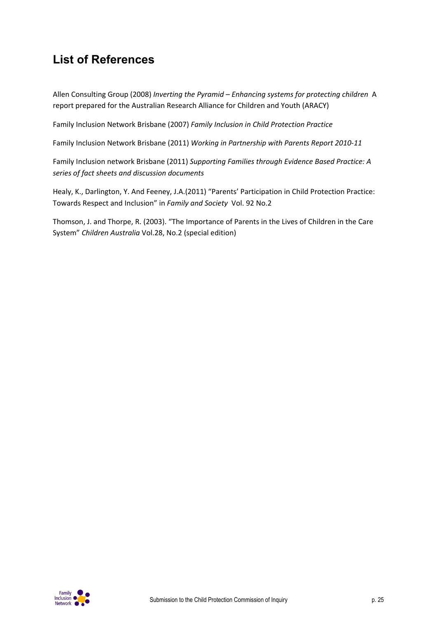# **List of References**

Allen Consulting Group (2008) *Inverting the Pyramid – Enhancing systems for protecting children* A report prepared for the Australian Research Alliance for Children and Youth (ARACY)

Family Inclusion Network Brisbane (2007) *Family Inclusion in Child Protection Practice*

Family Inclusion Network Brisbane (2011) *Working in Partnership with Parents Report 2010‐11*

Family Inclusion network Brisbane (2011) *Supporting Families through Evidence Based Practice: A series of fact sheets and discussion documents*

Healy, K., Darlington, Y. And Feeney, J.A.(2011) "Parents' Participation in Child Protection Practice: Towards Respect and Inclusion" in *Family and Society* Vol. 92 No.2

Thomson, J. and Thorpe, R. (2003). "The Importance of Parents in the Lives of Children in the Care System" *Children Australia* Vol.28, No.2 (special edition)

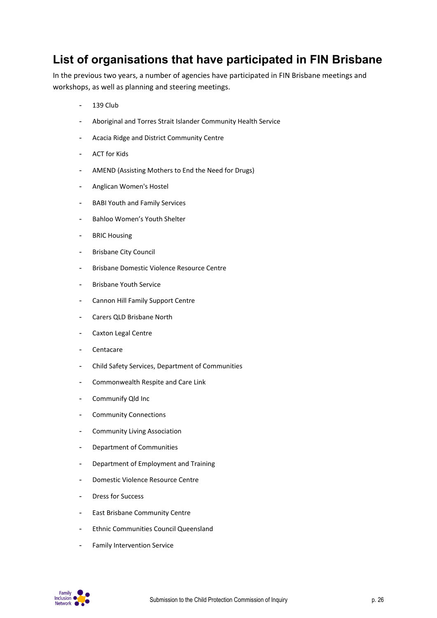# **List of organisations that have participated in FIN Brisbane**

In the previous two years, a number of agencies have participated in FIN Brisbane meetings and workshops, as well as planning and steering meetings.

- 139 Club
- Aboriginal and Torres Strait Islander Community Health Service
- Acacia Ridge and District Community Centre
- ACT for Kids
- AMEND (Assisting Mothers to End the Need for Drugs)
- Anglican Women's Hostel
- BABI Youth and Family Services
- Bahloo Women's Youth Shelter
- BRIC Housing
- Brisbane City Council
- Brisbane Domestic Violence Resource Centre
- Brisbane Youth Service
- Cannon Hill Family Support Centre
- Carers QLD Brisbane North
- Caxton Legal Centre
- Centacare
- Child Safety Services, Department of Communities
- Commonwealth Respite and Care Link
- Communify Qld Inc
- Community Connections
- Community Living Association
- Department of Communities
- Department of Employment and Training
- Domestic Violence Resource Centre
- Dress for Success
- East Brisbane Community Centre
- Ethnic Communities Council Queensland
- Family Intervention Service

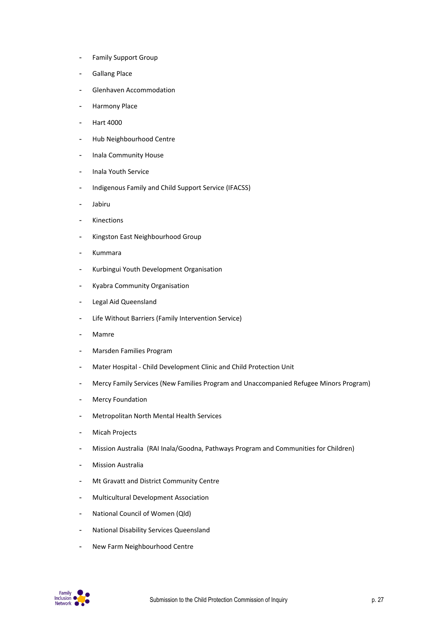- Family Support Group
- Gallang Place
- Glenhaven Accommodation
- Harmony Place
- Hart 4000
- Hub Neighbourhood Centre
- Inala Community House
- Inala Youth Service
- Indigenous Family and Child Support Service (IFACSS)
- Jabiru
- Kinections
- Kingston East Neighbourhood Group
- Kummara
- Kurbingui Youth Development Organisation
- Kyabra Community Organisation
- Legal Aid Queensland
- Life Without Barriers (Family Intervention Service)
- Mamre
- Marsden Families Program
- Mater Hospital ‐ Child Development Clinic and Child Protection Unit
- Mercy Family Services (New Families Program and Unaccompanied Refugee Minors Program)
- Mercy Foundation
- Metropolitan North Mental Health Services
- Micah Projects
- Mission Australia (RAI Inala/Goodna, Pathways Program and Communities for Children)
- Mission Australia
- Mt Gravatt and District Community Centre
- Multicultural Development Association
- National Council of Women (Qld)
- National Disability Services Queensland
- New Farm Neighbourhood Centre